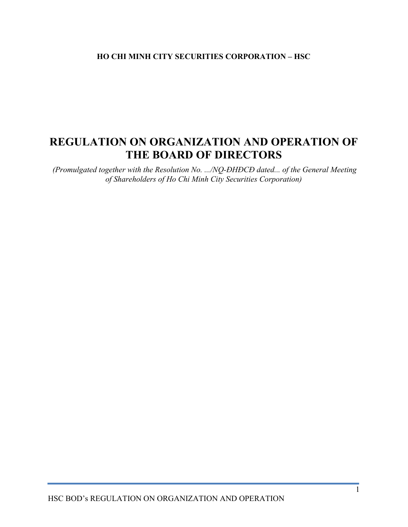## HO CHI MINH CITY SECURITIES CORPORATION – HSC

# REGULATION ON ORGANIZATION AND OPERATION OF THE BOARD OF DIRECTORS

 (Promulgated together with the Resolution No. .../NQ-ĐHĐCĐ dated... of the General Meeting of Shareholders of Ho Chi Minh City Securities Corporation)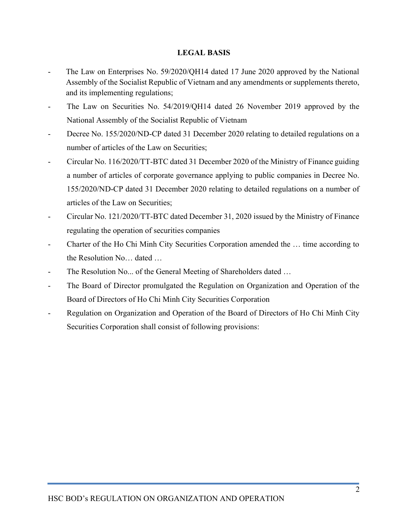## LEGAL BASIS

- The Law on Enterprises No. 59/2020/QH14 dated 17 June 2020 approved by the National Assembly of the Socialist Republic of Vietnam and any amendments or supplements thereto, and its implementing regulations;
- The Law on Securities No. 54/2019/QH14 dated 26 November 2019 approved by the National Assembly of the Socialist Republic of Vietnam
- Decree No. 155/2020/ND-CP dated 31 December 2020 relating to detailed regulations on a number of articles of the Law on Securities;
- Circular No. 116/2020/TT-BTC dated 31 December 2020 of the Ministry of Finance guiding a number of articles of corporate governance applying to public companies in Decree No. 155/2020/ND-CP dated 31 December 2020 relating to detailed regulations on a number of articles of the Law on Securities;
- Circular No. 121/2020/TT-BTC dated December 31, 2020 issued by the Ministry of Finance regulating the operation of securities companies
- Charter of the Ho Chi Minh City Securities Corporation amended the ... time according to the Resolution No… dated …
- The Resolution No... of the General Meeting of Shareholders dated ...
- The Board of Director promulgated the Regulation on Organization and Operation of the Board of Directors of Ho Chi Minh City Securities Corporation
- Regulation on Organization and Operation of the Board of Directors of Ho Chi Minh City Securities Corporation shall consist of following provisions: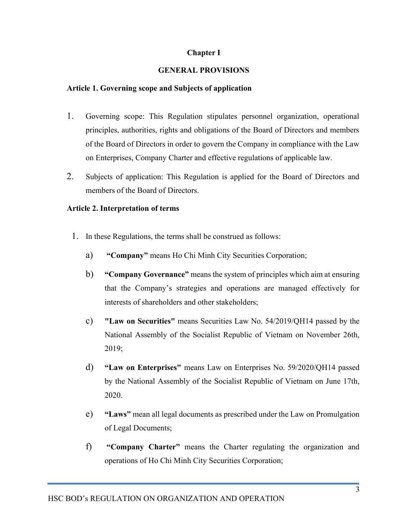## Chapter I

## GENERAL PROVISIONS

### Article 1. Governing scope and Subjects of application

- 1. Governing scope: This Regulation stipulates personnel organization, operational principles, authorities, rights and obligations of the Board of Directors and members of the Board of Directors in order to govern the Company in compliance with the Law on Enterprises, Company Charter and effective regulations of applicable law.
- 2. Subjects of application: This Regulation is applied for the Board of Directors and members of the Board of Directors.

### Article 2. Interpretation of terms

- 1. In these Regulations, the terms shall be construed as follows:
	- a) "Company" means Ho Chi Minh City Securities Corporation;
	- b) "Company Governance" means the system of principles which aim at ensuring that the Company's strategies and operations are managed effectively for interests of shareholders and other stakeholders;
	- c) "Law on Securities" means Securities Law No. 54/2019/QH14 passed by the National Assembly of the Socialist Republic of Vietnam on November 26th, 2019;
	- d) "Law on Enterprises" means Law on Enterprises No. 59/2020/QH14 passed by the National Assembly of the Socialist Republic of Vietnam on June 17th, 2020.
	- e) "Laws" mean all legal documents as prescribed under the Law on Promulgation of Legal Documents;
	- f) "Company Charter" means the Charter regulating the organization and operations of Ho Chi Minh City Securities Corporation;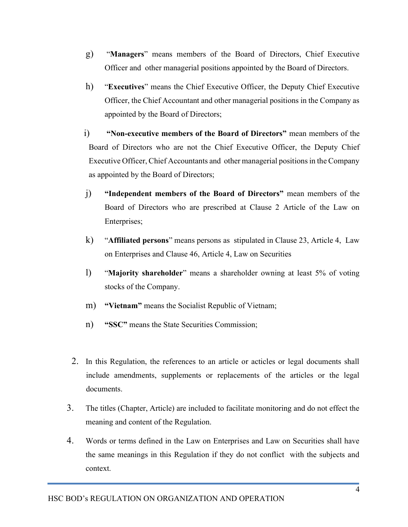- g) "Managers" means members of the Board of Directors, Chief Executive Officer and other managerial positions appointed by the Board of Directors.
- h) "Executives" means the Chief Executive Officer, the Deputy Chief Executive Officer, the Chief Accountant and other managerial positions in the Company as appointed by the Board of Directors;
- i) "Non-executive members of the Board of Directors" mean members of the Board of Directors who are not the Chief Executive Officer, the Deputy Chief Executive Officer, Chief Accountants and other managerial positions in the Company as appointed by the Board of Directors;
- j) "Independent members of the Board of Directors" mean members of the Board of Directors who are prescribed at Clause 2 Article of the Law on Enterprises;
- k) "Affiliated persons" means persons as stipulated in Clause 23, Article 4, Law on Enterprises and Clause 46, Article 4, Law on Securities
- l) "Majority shareholder" means a shareholder owning at least 5% of voting stocks of the Company.
- m) "Vietnam" means the Socialist Republic of Vietnam;
- n) "SSC" means the State Securities Commission;
- 2. In this Regulation, the references to an article or acticles or legal documents shall include amendments, supplements or replacements of the articles or the legal documents.
- 3. The titles (Chapter, Article) are included to facilitate monitoring and do not effect the meaning and content of the Regulation.
- 4. Words or terms defined in the Law on Enterprises and Law on Securities shall have the same meanings in this Regulation if they do not conflict with the subjects and context.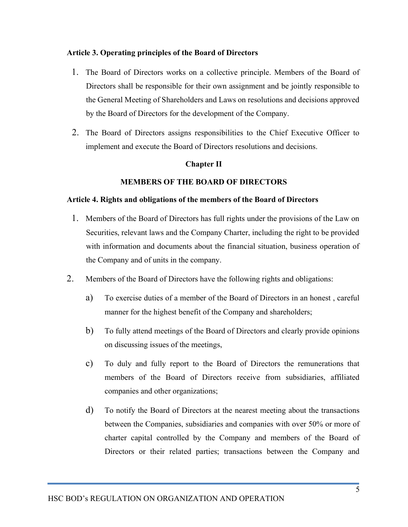### Article 3. Operating principles of the Board of Directors

- 1. The Board of Directors works on a collective principle. Members of the Board of Directors shall be responsible for their own assignment and be jointly responsible to the General Meeting of Shareholders and Laws on resolutions and decisions approved by the Board of Directors for the development of the Company.
- 2. The Board of Directors assigns responsibilities to the Chief Executive Officer to implement and execute the Board of Directors resolutions and decisions.

### Chapter II

### MEMBERS OF THE BOARD OF DIRECTORS

### Article 4. Rights and obligations of the members of the Board of Directors

- 1. Members of the Board of Directors has full rights under the provisions of the Law on Securities, relevant laws and the Company Charter, including the right to be provided with information and documents about the financial situation, business operation of the Company and of units in the company.
- 2. Members of the Board of Directors have the following rights and obligations:
	- a) To exercise duties of a member of the Board of Directors in an honest , careful manner for the highest benefit of the Company and shareholders;
	- b) To fully attend meetings of the Board of Directors and clearly provide opinions on discussing issues of the meetings,
	- c) To duly and fully report to the Board of Directors the remunerations that members of the Board of Directors receive from subsidiaries, affiliated companies and other organizations;
	- d) To notify the Board of Directors at the nearest meeting about the transactions between the Companies, subsidiaries and companies with over 50% or more of charter capital controlled by the Company and members of the Board of Directors or their related parties; transactions between the Company and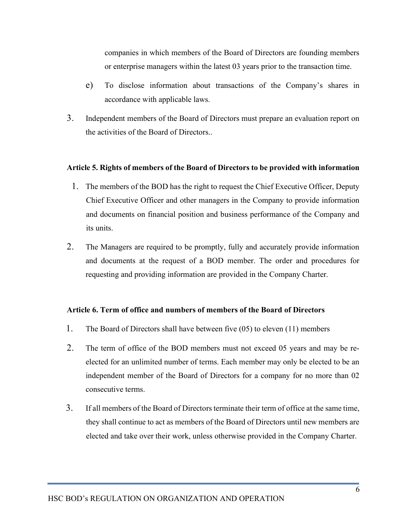companies in which members of the Board of Directors are founding members or enterprise managers within the latest 03 years prior to the transaction time.

- e) To disclose information about transactions of the Company's shares in accordance with applicable laws.
- 3. Independent members of the Board of Directors must prepare an evaluation report on the activities of the Board of Directors..

### Article 5. Rights of members of the Board of Directors to be provided with information

- 1. The members of the BOD has the right to request the Chief Executive Officer, Deputy Chief Executive Officer and other managers in the Company to provide information and documents on financial position and business performance of the Company and its units.
- 2. The Managers are required to be promptly, fully and accurately provide information and documents at the request of a BOD member. The order and procedures for requesting and providing information are provided in the Company Charter.

#### Article 6. Term of office and numbers of members of the Board of Directors

- 1. The Board of Directors shall have between five (05) to eleven (11) members
- 2. The term of office of the BOD members must not exceed 05 years and may be reelected for an unlimited number of terms. Each member may only be elected to be an independent member of the Board of Directors for a company for no more than 02 consecutive terms.
- 3. If all members of the Board of Directors terminate their term of office at the same time, they shall continue to act as members of the Board of Directors until new members are elected and take over their work, unless otherwise provided in the Company Charter.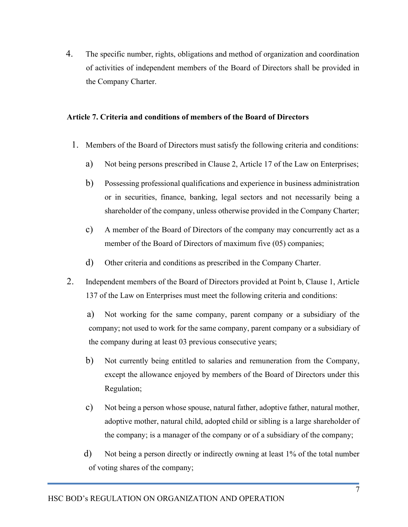4. The specific number, rights, obligations and method of organization and coordination of activities of independent members of the Board of Directors shall be provided in the Company Charter.

### Article 7. Criteria and conditions of members of the Board of Directors

- 1. Members of the Board of Directors must satisfy the following criteria and conditions:
	- a) Not being persons prescribed in Clause 2, Article 17 of the Law on Enterprises;
	- b) Possessing professional qualifications and experience in business administration or in securities, finance, banking, legal sectors and not necessarily being a shareholder of the company, unless otherwise provided in the Company Charter;
	- c) A member of the Board of Directors of the company may concurrently act as a member of the Board of Directors of maximum five (05) companies;
	- d) Other criteria and conditions as prescribed in the Company Charter.
- 2. Independent members of the Board of Directors provided at Point b, Clause 1, Article 137 of the Law on Enterprises must meet the following criteria and conditions:

a) Not working for the same company, parent company or a subsidiary of the company; not used to work for the same company, parent company or a subsidiary of the company during at least 03 previous consecutive years;

- b) Not currently being entitled to salaries and remuneration from the Company, except the allowance enjoyed by members of the Board of Directors under this Regulation;
- c) Not being a person whose spouse, natural father, adoptive father, natural mother, adoptive mother, natural child, adopted child or sibling is a large shareholder of the company; is a manager of the company or of a subsidiary of the company;
- d) Not being a person directly or indirectly owning at least 1% of the total number of voting shares of the company;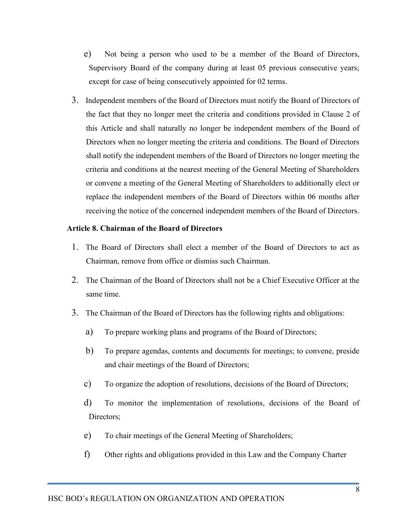- e) Not being a person who used to be a member of the Board of Directors, Supervisory Board of the company during at least 05 previous consecutive years; except for case of being consecutively appointed for 02 terms.
- 3. Independent members of the Board of Directors must notify the Board of Directors of the fact that they no longer meet the criteria and conditions provided in Clause 2 of this Article and shall naturally no longer be independent members of the Board of Directors when no longer meeting the criteria and conditions. The Board of Directors shall notify the independent members of the Board of Directors no longer meeting the criteria and conditions at the nearest meeting of the General Meeting of Shareholders or convene a meeting of the General Meeting of Shareholders to additionally elect or replace the independent members of the Board of Directors within 06 months after receiving the notice of the concerned independent members of the Board of Directors.

### Article 8. Chairman of the Board of Directors

- 1. The Board of Directors shall elect a member of the Board of Directors to act as Chairman, remove from office or dismiss such Chairman.
- 2. The Chairman of the Board of Directors shall not be a Chief Executive Officer at the same time.
- 3. The Chairman of the Board of Directors has the following rights and obligations:
	- a) To prepare working plans and programs of the Board of Directors;
	- b) To prepare agendas, contents and documents for meetings; to convene, preside and chair meetings of the Board of Directors;
	- c) To organize the adoption of resolutions, decisions of the Board of Directors;
	- d) To monitor the implementation of resolutions, decisions of the Board of Directors;
	- e) To chair meetings of the General Meeting of Shareholders;
	- f) Other rights and obligations provided in this Law and the Company Charter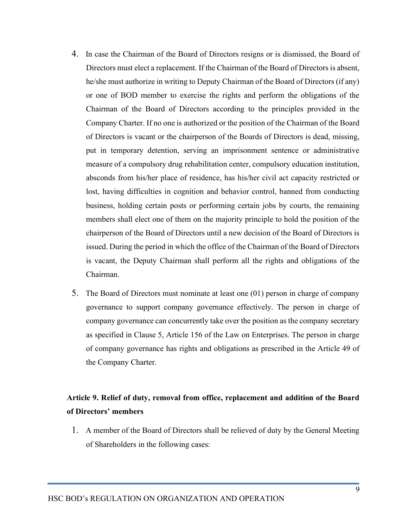- 4. In case the Chairman of the Board of Directors resigns or is dismissed, the Board of Directors must elect a replacement. If the Chairman of the Board of Directors is absent, he/she must authorize in writing to Deputy Chairman of the Board of Directors (if any) or one of BOD member to exercise the rights and perform the obligations of the Chairman of the Board of Directors according to the principles provided in the Company Charter. If no one is authorized or the position of the Chairman of the Board of Directors is vacant or the chairperson of the Boards of Directors is dead, missing, put in temporary detention, serving an imprisonment sentence or administrative measure of a compulsory drug rehabilitation center, compulsory education institution, absconds from his/her place of residence, has his/her civil act capacity restricted or lost, having difficulties in cognition and behavior control, banned from conducting business, holding certain posts or performing certain jobs by courts, the remaining members shall elect one of them on the majority principle to hold the position of the chairperson of the Board of Directors until a new decision of the Board of Directors is issued. During the period in which the office of the Chairman of the Board of Directors is vacant, the Deputy Chairman shall perform all the rights and obligations of the Chairman.
- 5. The Board of Directors must nominate at least one (01) person in charge of company governance to support company governance effectively. The person in charge of company governance can concurrently take over the position as the company secretary as specified in Clause 5, Article 156 of the Law on Enterprises. The person in charge of company governance has rights and obligations as prescribed in the Article 49 of the Company Charter.

# Article 9. Relief of duty, removal from office, replacement and addition of the Board of Directors' members

1. A member of the Board of Directors shall be relieved of duty by the General Meeting of Shareholders in the following cases: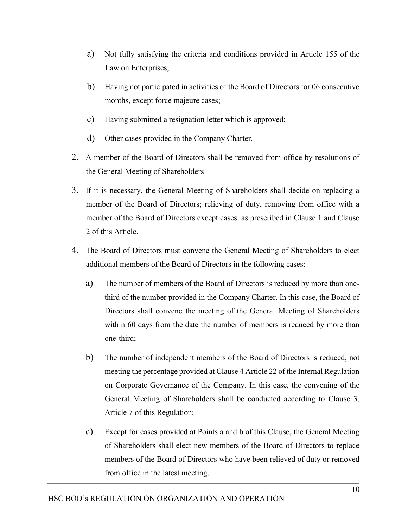- a) Not fully satisfying the criteria and conditions provided in Article 155 of the Law on Enterprises;
- b) Having not participated in activities of the Board of Directors for 06 consecutive months, except force majeure cases;
- c) Having submitted a resignation letter which is approved;
- d) Other cases provided in the Company Charter.
- 2. A member of the Board of Directors shall be removed from office by resolutions of the General Meeting of Shareholders
- 3. If it is necessary, the General Meeting of Shareholders shall decide on replacing a member of the Board of Directors; relieving of duty, removing from office with a member of the Board of Directors except cases as prescribed in Clause 1 and Clause 2 of this Article.
- 4. The Board of Directors must convene the General Meeting of Shareholders to elect additional members of the Board of Directors in the following cases:
	- a) The number of members of the Board of Directors is reduced by more than onethird of the number provided in the Company Charter. In this case, the Board of Directors shall convene the meeting of the General Meeting of Shareholders within 60 days from the date the number of members is reduced by more than one-third;
	- b) The number of independent members of the Board of Directors is reduced, not meeting the percentage provided at Clause 4 Article 22 of the Internal Regulation on Corporate Governance of the Company. In this case, the convening of the General Meeting of Shareholders shall be conducted according to Clause 3, Article 7 of this Regulation;
	- c) Except for cases provided at Points a and b of this Clause, the General Meeting of Shareholders shall elect new members of the Board of Directors to replace members of the Board of Directors who have been relieved of duty or removed from office in the latest meeting.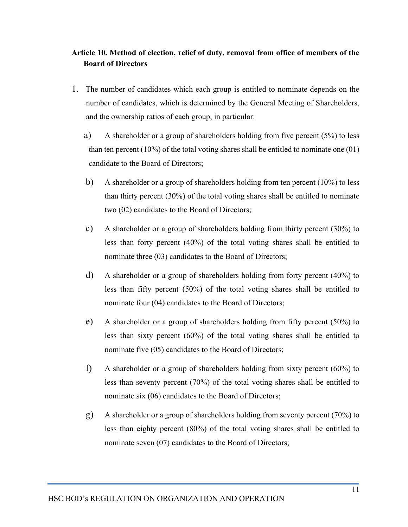## Article 10. Method of election, relief of duty, removal from office of members of the Board of Directors

- 1. The number of candidates which each group is entitled to nominate depends on the number of candidates, which is determined by the General Meeting of Shareholders, and the ownership ratios of each group, in particular:
	- a) A shareholder or a group of shareholders holding from five percent (5%) to less than ten percent (10%) of the total voting shares shall be entitled to nominate one  $(01)$ candidate to the Board of Directors;
	- b) A shareholder or a group of shareholders holding from ten percent (10%) to less than thirty percent (30%) of the total voting shares shall be entitled to nominate two (02) candidates to the Board of Directors;
	- c) A shareholder or a group of shareholders holding from thirty percent (30%) to less than forty percent (40%) of the total voting shares shall be entitled to nominate three (03) candidates to the Board of Directors;
	- d) A shareholder or a group of shareholders holding from forty percent (40%) to less than fifty percent (50%) of the total voting shares shall be entitled to nominate four (04) candidates to the Board of Directors;
	- e) A shareholder or a group of shareholders holding from fifty percent (50%) to less than sixty percent (60%) of the total voting shares shall be entitled to nominate five (05) candidates to the Board of Directors;
	- f) A shareholder or a group of shareholders holding from sixty percent (60%) to less than seventy percent (70%) of the total voting shares shall be entitled to nominate six (06) candidates to the Board of Directors;
	- g) A shareholder or a group of shareholders holding from seventy percent (70%) to less than eighty percent (80%) of the total voting shares shall be entitled to nominate seven (07) candidates to the Board of Directors;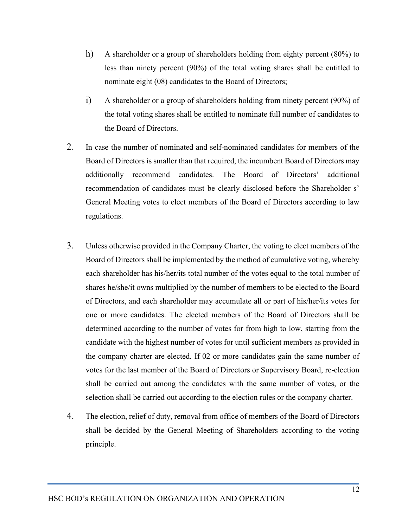- h) A shareholder or a group of shareholders holding from eighty percent (80%) to less than ninety percent (90%) of the total voting shares shall be entitled to nominate eight (08) candidates to the Board of Directors;
- i) A shareholder or a group of shareholders holding from ninety percent (90%) of the total voting shares shall be entitled to nominate full number of candidates to the Board of Directors.
- 2. In case the number of nominated and self-nominated candidates for members of the Board of Directors is smaller than that required, the incumbent Board of Directors may additionally recommend candidates. The Board of Directors' additional recommendation of candidates must be clearly disclosed before the Shareholder s' General Meeting votes to elect members of the Board of Directors according to law regulations.
- 3. Unless otherwise provided in the Company Charter, the voting to elect members of the Board of Directors shall be implemented by the method of cumulative voting, whereby each shareholder has his/her/its total number of the votes equal to the total number of shares he/she/it owns multiplied by the number of members to be elected to the Board of Directors, and each shareholder may accumulate all or part of his/her/its votes for one or more candidates. The elected members of the Board of Directors shall be determined according to the number of votes for from high to low, starting from the candidate with the highest number of votes for until sufficient members as provided in the company charter are elected. If 02 or more candidates gain the same number of votes for the last member of the Board of Directors or Supervisory Board, re-election shall be carried out among the candidates with the same number of votes, or the selection shall be carried out according to the election rules or the company charter.
- 4. The election, relief of duty, removal from office of members of the Board of Directors shall be decided by the General Meeting of Shareholders according to the voting principle.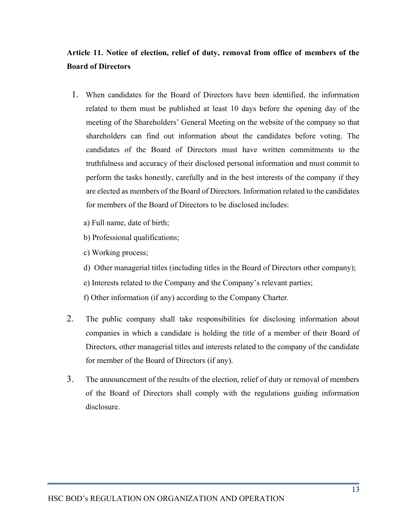# Article 11. Notice of election, relief of duty, removal from office of members of the Board of Directors

- 1. When candidates for the Board of Directors have been identified, the information related to them must be published at least 10 days before the opening day of the meeting of the Shareholders' General Meeting on the website of the company so that shareholders can find out information about the candidates before voting. The candidates of the Board of Directors must have written commitments to the truthfulness and accuracy of their disclosed personal information and must commit to perform the tasks honestly, carefully and in the best interests of the company if they are elected as members of the Board of Directors. Information related to the candidates for members of the Board of Directors to be disclosed includes:
	- a) Full name, date of birth;
	- b) Professional qualifications;
	- c) Working process;
	- d) Other managerial titles (including titles in the Board of Directors other company);
	- e) Interests related to the Company and the Company's relevant parties;
	- f) Other information (if any) according to the Company Charter.
- 2. The public company shall take responsibilities for disclosing information about companies in which a candidate is holding the title of a member of their Board of Directors, other managerial titles and interests related to the company of the candidate for member of the Board of Directors (if any).
- 3. The announcement of the results of the election, relief of duty or removal of members of the Board of Directors shall comply with the regulations guiding information disclosure.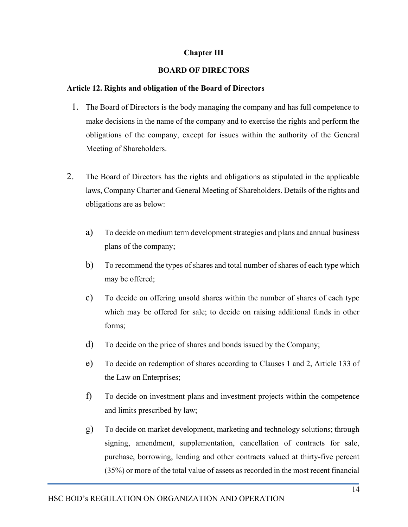## Chapter III

## BOARD OF DIRECTORS

### Article 12. Rights and obligation of the Board of Directors

- 1. The Board of Directors is the body managing the company and has full competence to make decisions in the name of the company and to exercise the rights and perform the obligations of the company, except for issues within the authority of the General Meeting of Shareholders.
- 2. The Board of Directors has the rights and obligations as stipulated in the applicable laws, Company Charter and General Meeting of Shareholders. Details of the rights and obligations are as below:
	- a) To decide on medium term development strategies and plans and annual business plans of the company;
	- b) To recommend the types of shares and total number of shares of each type which may be offered;
	- c) To decide on offering unsold shares within the number of shares of each type which may be offered for sale; to decide on raising additional funds in other forms;
	- d) To decide on the price of shares and bonds issued by the Company;
	- e) To decide on redemption of shares according to Clauses 1 and 2, Article 133 of the Law on Enterprises;
	- f) To decide on investment plans and investment projects within the competence and limits prescribed by law;
	- g) To decide on market development, marketing and technology solutions; through signing, amendment, supplementation, cancellation of contracts for sale, purchase, borrowing, lending and other contracts valued at thirty-five percent (35%) or more of the total value of assets as recorded in the most recent financial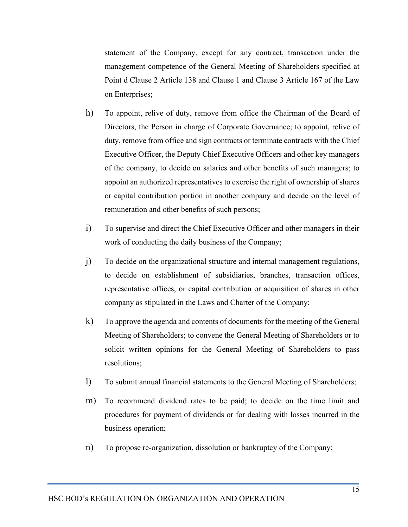statement of the Company, except for any contract, transaction under the management competence of the General Meeting of Shareholders specified at Point d Clause 2 Article 138 and Clause 1 and Clause 3 Article 167 of the Law on Enterprises;

- h) To appoint, relive of duty, remove from office the Chairman of the Board of Directors, the Person in charge of Corporate Governance; to appoint, relive of duty, remove from office and sign contracts or terminate contracts with the Chief Executive Officer, the Deputy Chief Executive Officers and other key managers of the company, to decide on salaries and other benefits of such managers; to appoint an authorized representatives to exercise the right of ownership of shares or capital contribution portion in another company and decide on the level of remuneration and other benefits of such persons;
- i) To supervise and direct the Chief Executive Officer and other managers in their work of conducting the daily business of the Company;
- j) To decide on the organizational structure and internal management regulations, to decide on establishment of subsidiaries, branches, transaction offices, representative offices, or capital contribution or acquisition of shares in other company as stipulated in the Laws and Charter of the Company;
- k) To approve the agenda and contents of documents for the meeting of the General Meeting of Shareholders; to convene the General Meeting of Shareholders or to solicit written opinions for the General Meeting of Shareholders to pass resolutions;
- l) To submit annual financial statements to the General Meeting of Shareholders;
- m) To recommend dividend rates to be paid; to decide on the time limit and procedures for payment of dividends or for dealing with losses incurred in the business operation;
- n) To propose re-organization, dissolution or bankruptcy of the Company;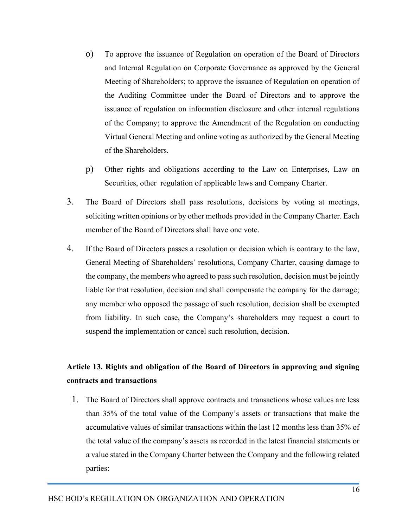- o) To approve the issuance of Regulation on operation of the Board of Directors and Internal Regulation on Corporate Governance as approved by the General Meeting of Shareholders; to approve the issuance of Regulation on operation of the Auditing Committee under the Board of Directors and to approve the issuance of regulation on information disclosure and other internal regulations of the Company; to approve the Amendment of the Regulation on conducting Virtual General Meeting and online voting as authorized by the General Meeting of the Shareholders.
- p) Other rights and obligations according to the Law on Enterprises, Law on Securities, other regulation of applicable laws and Company Charter.
- 3. The Board of Directors shall pass resolutions, decisions by voting at meetings, soliciting written opinions or by other methods provided in the Company Charter. Each member of the Board of Directors shall have one vote.
- 4. If the Board of Directors passes a resolution or decision which is contrary to the law, General Meeting of Shareholders' resolutions, Company Charter, causing damage to the company, the members who agreed to pass such resolution, decision must be jointly liable for that resolution, decision and shall compensate the company for the damage; any member who opposed the passage of such resolution, decision shall be exempted from liability. In such case, the Company's shareholders may request a court to suspend the implementation or cancel such resolution, decision.

# Article 13. Rights and obligation of the Board of Directors in approving and signing contracts and transactions

1. The Board of Directors shall approve contracts and transactions whose values are less than 35% of the total value of the Company's assets or transactions that make the accumulative values of similar transactions within the last 12 months less than 35% of the total value of the company's assets as recorded in the latest financial statements or a value stated in the Company Charter between the Company and the following related parties: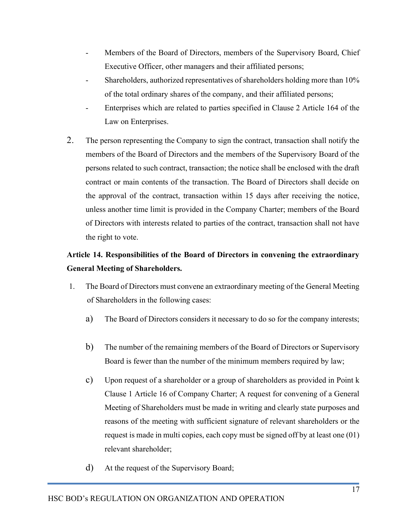- Members of the Board of Directors, members of the Supervisory Board, Chief Executive Officer, other managers and their affiliated persons;
- Shareholders, authorized representatives of shareholders holding more than 10% of the total ordinary shares of the company, and their affiliated persons;
- Enterprises which are related to parties specified in Clause 2 Article 164 of the Law on Enterprises.
- 2. The person representing the Company to sign the contract, transaction shall notify the members of the Board of Directors and the members of the Supervisory Board of the persons related to such contract, transaction; the notice shall be enclosed with the draft contract or main contents of the transaction. The Board of Directors shall decide on the approval of the contract, transaction within 15 days after receiving the notice, unless another time limit is provided in the Company Charter; members of the Board of Directors with interests related to parties of the contract, transaction shall not have the right to vote.

# Article 14. Responsibilities of the Board of Directors in convening the extraordinary General Meeting of Shareholders.

- 1. The Board of Directors must convene an extraordinary meeting of the General Meeting of Shareholders in the following cases:
	- a) The Board of Directors considers it necessary to do so for the company interests;
	- b) The number of the remaining members of the Board of Directors or Supervisory Board is fewer than the number of the minimum members required by law;
	- c) Upon request of a shareholder or a group of shareholders as provided in Point k Clause 1 Article 16 of Company Charter; A request for convening of a General Meeting of Shareholders must be made in writing and clearly state purposes and reasons of the meeting with sufficient signature of relevant shareholders or the request is made in multi copies, each copy must be signed off by at least one (01) relevant shareholder;
	- d) At the request of the Supervisory Board;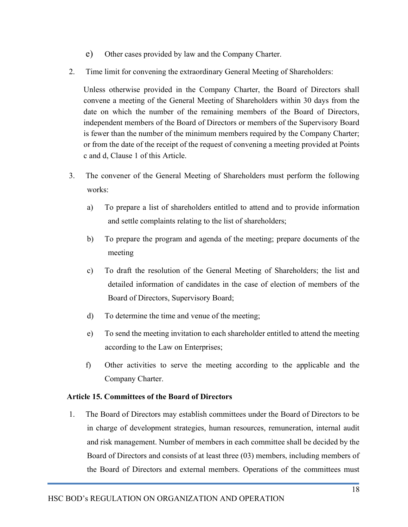- e) Other cases provided by law and the Company Charter.
- 2. Time limit for convening the extraordinary General Meeting of Shareholders:

Unless otherwise provided in the Company Charter, the Board of Directors shall convene a meeting of the General Meeting of Shareholders within 30 days from the date on which the number of the remaining members of the Board of Directors, independent members of the Board of Directors or members of the Supervisory Board is fewer than the number of the minimum members required by the Company Charter; or from the date of the receipt of the request of convening a meeting provided at Points c and d, Clause 1 of this Article.

- 3. The convener of the General Meeting of Shareholders must perform the following works:
	- a) To prepare a list of shareholders entitled to attend and to provide information and settle complaints relating to the list of shareholders;
	- b) To prepare the program and agenda of the meeting; prepare documents of the meeting
	- c) To draft the resolution of the General Meeting of Shareholders; the list and detailed information of candidates in the case of election of members of the Board of Directors, Supervisory Board;
	- d) To determine the time and venue of the meeting;
	- e) To send the meeting invitation to each shareholder entitled to attend the meeting according to the Law on Enterprises;
	- f) Other activities to serve the meeting according to the applicable and the Company Charter.

## Article 15. Committees of the Board of Directors

1. The Board of Directors may establish committees under the Board of Directors to be in charge of development strategies, human resources, remuneration, internal audit and risk management. Number of members in each committee shall be decided by the Board of Directors and consists of at least three (03) members, including members of the Board of Directors and external members. Operations of the committees must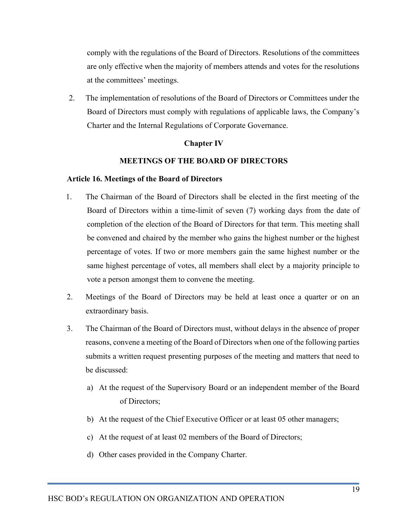comply with the regulations of the Board of Directors. Resolutions of the committees are only effective when the majority of members attends and votes for the resolutions at the committees' meetings.

2. The implementation of resolutions of the Board of Directors or Committees under the Board of Directors must comply with regulations of applicable laws, the Company's Charter and the Internal Regulations of Corporate Governance.

### Chapter IV

### MEETINGS OF THE BOARD OF DIRECTORS

### Article 16. Meetings of the Board of Directors

- 1. The Chairman of the Board of Directors shall be elected in the first meeting of the Board of Directors within a time-limit of seven (7) working days from the date of completion of the election of the Board of Directors for that term. This meeting shall be convened and chaired by the member who gains the highest number or the highest percentage of votes. If two or more members gain the same highest number or the same highest percentage of votes, all members shall elect by a majority principle to vote a person amongst them to convene the meeting.
- 2. Meetings of the Board of Directors may be held at least once a quarter or on an extraordinary basis.
- 3. The Chairman of the Board of Directors must, without delays in the absence of proper reasons, convene a meeting of the Board of Directors when one of the following parties submits a written request presenting purposes of the meeting and matters that need to be discussed:
	- a) At the request of the Supervisory Board or an independent member of the Board of Directors;
	- b) At the request of the Chief Executive Officer or at least 05 other managers;
	- c) At the request of at least 02 members of the Board of Directors;
	- d) Other cases provided in the Company Charter.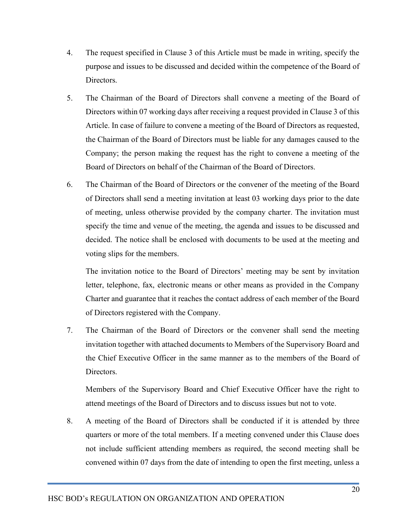- 4. The request specified in Clause 3 of this Article must be made in writing, specify the purpose and issues to be discussed and decided within the competence of the Board of Directors.
- 5. The Chairman of the Board of Directors shall convene a meeting of the Board of Directors within 07 working days after receiving a request provided in Clause 3 of this Article. In case of failure to convene a meeting of the Board of Directors as requested, the Chairman of the Board of Directors must be liable for any damages caused to the Company; the person making the request has the right to convene a meeting of the Board of Directors on behalf of the Chairman of the Board of Directors.
- 6. The Chairman of the Board of Directors or the convener of the meeting of the Board of Directors shall send a meeting invitation at least 03 working days prior to the date of meeting, unless otherwise provided by the company charter. The invitation must specify the time and venue of the meeting, the agenda and issues to be discussed and decided. The notice shall be enclosed with documents to be used at the meeting and voting slips for the members.

The invitation notice to the Board of Directors' meeting may be sent by invitation letter, telephone, fax, electronic means or other means as provided in the Company Charter and guarantee that it reaches the contact address of each member of the Board of Directors registered with the Company.

7. The Chairman of the Board of Directors or the convener shall send the meeting invitation together with attached documents to Members of the Supervisory Board and the Chief Executive Officer in the same manner as to the members of the Board of Directors.

Members of the Supervisory Board and Chief Executive Officer have the right to attend meetings of the Board of Directors and to discuss issues but not to vote.

8. A meeting of the Board of Directors shall be conducted if it is attended by three quarters or more of the total members. If a meeting convened under this Clause does not include sufficient attending members as required, the second meeting shall be convened within 07 days from the date of intending to open the first meeting, unless a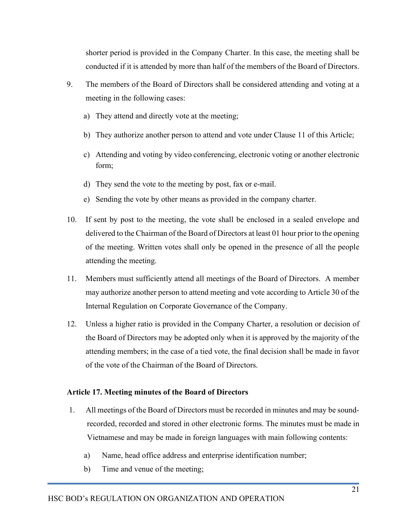shorter period is provided in the Company Charter. In this case, the meeting shall be conducted if it is attended by more than half of the members of the Board of Directors.

- 9. The members of the Board of Directors shall be considered attending and voting at a meeting in the following cases:
	- a) They attend and directly vote at the meeting;
	- b) They authorize another person to attend and vote under Clause 11 of this Article;
	- c) Attending and voting by video conferencing, electronic voting or another electronic form;
	- d) They send the vote to the meeting by post, fax or e-mail.
	- e) Sending the vote by other means as provided in the company charter.
- 10. If sent by post to the meeting, the vote shall be enclosed in a sealed envelope and delivered to the Chairman of the Board of Directors at least 01 hour prior to the opening of the meeting. Written votes shall only be opened in the presence of all the people attending the meeting.
- 11. Members must sufficiently attend all meetings of the Board of Directors. A member may authorize another person to attend meeting and vote according to Article 30 of the Internal Regulation on Corporate Governance of the Company.
- 12. Unless a higher ratio is provided in the Company Charter, a resolution or decision of the Board of Directors may be adopted only when it is approved by the majority of the attending members; in the case of a tied vote, the final decision shall be made in favor of the vote of the Chairman of the Board of Directors.

## Article 17. Meeting minutes of the Board of Directors

- 1. All meetings of the Board of Directors must be recorded in minutes and may be soundrecorded, recorded and stored in other electronic forms. The minutes must be made in Vietnamese and may be made in foreign languages with main following contents:
	- a) Name, head office address and enterprise identification number;
	- b) Time and venue of the meeting;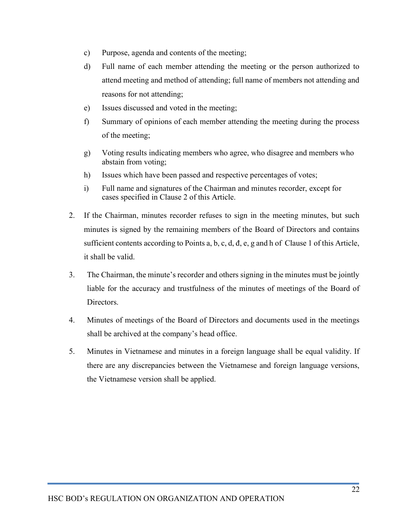- c) Purpose, agenda and contents of the meeting;
- d) Full name of each member attending the meeting or the person authorized to attend meeting and method of attending; full name of members not attending and reasons for not attending;
- e) Issues discussed and voted in the meeting;
- f) Summary of opinions of each member attending the meeting during the process of the meeting;
- g) Voting results indicating members who agree, who disagree and members who abstain from voting;
- h) Issues which have been passed and respective percentages of votes;
- i) Full name and signatures of the Chairman and minutes recorder, except for cases specified in Clause 2 of this Article.
- 2. If the Chairman, minutes recorder refuses to sign in the meeting minutes, but such minutes is signed by the remaining members of the Board of Directors and contains sufficient contents according to Points a, b, c, d, đ, e, g and h of Clause 1 of this Article, it shall be valid.
- 3. The Chairman, the minute's recorder and others signing in the minutes must be jointly liable for the accuracy and trustfulness of the minutes of meetings of the Board of Directors.
- 4. Minutes of meetings of the Board of Directors and documents used in the meetings shall be archived at the company's head office.
- 5. Minutes in Vietnamese and minutes in a foreign language shall be equal validity. If there are any discrepancies between the Vietnamese and foreign language versions, the Vietnamese version shall be applied.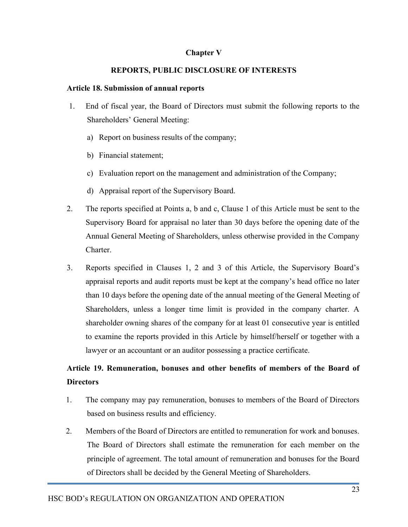### Chapter V

### REPORTS, PUBLIC DISCLOSURE OF INTERESTS

### Article 18. Submission of annual reports

- 1. End of fiscal year, the Board of Directors must submit the following reports to the Shareholders' General Meeting:
	- a) Report on business results of the company;
	- b) Financial statement;
	- c) Evaluation report on the management and administration of the Company;
	- d) Appraisal report of the Supervisory Board.
- 2. The reports specified at Points a, b and c, Clause 1 of this Article must be sent to the Supervisory Board for appraisal no later than 30 days before the opening date of the Annual General Meeting of Shareholders, unless otherwise provided in the Company Charter.
- 3. Reports specified in Clauses 1, 2 and 3 of this Article, the Supervisory Board's appraisal reports and audit reports must be kept at the company's head office no later than 10 days before the opening date of the annual meeting of the General Meeting of Shareholders, unless a longer time limit is provided in the company charter. A shareholder owning shares of the company for at least 01 consecutive year is entitled to examine the reports provided in this Article by himself/herself or together with a lawyer or an accountant or an auditor possessing a practice certificate.

# Article 19. Remuneration, bonuses and other benefits of members of the Board of **Directors**

- 1. The company may pay remuneration, bonuses to members of the Board of Directors based on business results and efficiency.
- 2. Members of the Board of Directors are entitled to remuneration for work and bonuses. The Board of Directors shall estimate the remuneration for each member on the principle of agreement. The total amount of remuneration and bonuses for the Board of Directors shall be decided by the General Meeting of Shareholders.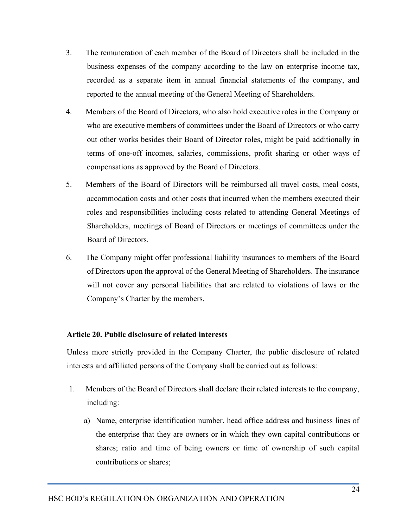- 3. The remuneration of each member of the Board of Directors shall be included in the business expenses of the company according to the law on enterprise income tax, recorded as a separate item in annual financial statements of the company, and reported to the annual meeting of the General Meeting of Shareholders.
- 4. Members of the Board of Directors, who also hold executive roles in the Company or who are executive members of committees under the Board of Directors or who carry out other works besides their Board of Director roles, might be paid additionally in terms of one-off incomes, salaries, commissions, profit sharing or other ways of compensations as approved by the Board of Directors.
- 5. Members of the Board of Directors will be reimbursed all travel costs, meal costs, accommodation costs and other costs that incurred when the members executed their roles and responsibilities including costs related to attending General Meetings of Shareholders, meetings of Board of Directors or meetings of committees under the Board of Directors.
- 6. The Company might offer professional liability insurances to members of the Board of Directors upon the approval of the General Meeting of Shareholders. The insurance will not cover any personal liabilities that are related to violations of laws or the Company's Charter by the members.

## Article 20. Public disclosure of related interests

Unless more strictly provided in the Company Charter, the public disclosure of related interests and affiliated persons of the Company shall be carried out as follows:

- 1. Members of the Board of Directors shall declare their related interests to the company, including:
	- a) Name, enterprise identification number, head office address and business lines of the enterprise that they are owners or in which they own capital contributions or shares; ratio and time of being owners or time of ownership of such capital contributions or shares;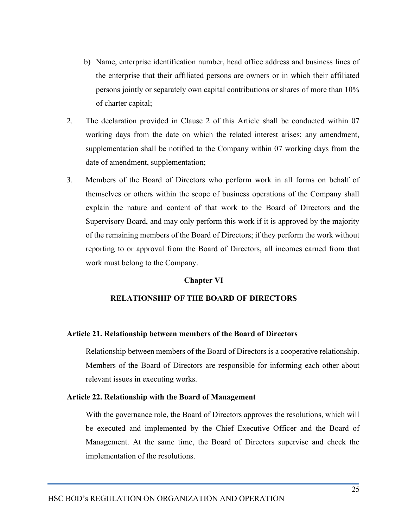- b) Name, enterprise identification number, head office address and business lines of the enterprise that their affiliated persons are owners or in which their affiliated persons jointly or separately own capital contributions or shares of more than 10% of charter capital;
- 2. The declaration provided in Clause 2 of this Article shall be conducted within 07 working days from the date on which the related interest arises; any amendment, supplementation shall be notified to the Company within 07 working days from the date of amendment, supplementation;
- 3. Members of the Board of Directors who perform work in all forms on behalf of themselves or others within the scope of business operations of the Company shall explain the nature and content of that work to the Board of Directors and the Supervisory Board, and may only perform this work if it is approved by the majority of the remaining members of the Board of Directors; if they perform the work without reporting to or approval from the Board of Directors, all incomes earned from that work must belong to the Company.

#### Chapter VI

## RELATIONSHIP OF THE BOARD OF DIRECTORS

#### Article 21. Relationship between members of the Board of Directors

Relationship between members of the Board of Directors is a cooperative relationship. Members of the Board of Directors are responsible for informing each other about relevant issues in executing works.

#### Article 22. Relationship with the Board of Management

With the governance role, the Board of Directors approves the resolutions, which will be executed and implemented by the Chief Executive Officer and the Board of Management. At the same time, the Board of Directors supervise and check the implementation of the resolutions.